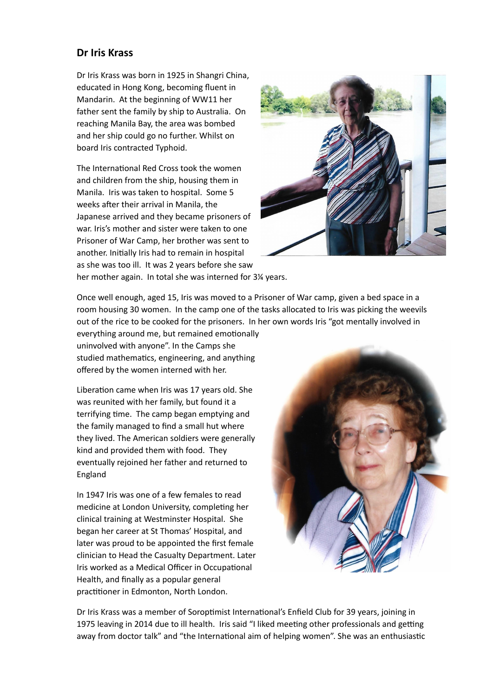## **Dr Iris Krass**

Dr Iris Krass was born in 1925 in Shangri China, educated in Hong Kong, becoming fluent in Mandarin. At the beginning of WW11 her father sent the family by ship to Australia. On reaching Manila Bay, the area was bombed and her ship could go no further. Whilst on board Iris contracted Typhoid.

The International Red Cross took the women and children from the ship, housing them in Manila. Iris was taken to hospital. Some 5 weeks after their arrival in Manila, the Japanese arrived and they became prisoners of war. Iris's mother and sister were taken to one Prisoner of War Camp, her brother was sent to another. Initially Iris had to remain in hospital as she was too ill. It was 2 years before she saw her mother again. In total she was interned for 3¼ years.



Once well enough, aged 15, Iris was moved to a Prisoner of War camp, given a bed space in a

room housing 30 women. In the camp one of the tasks allocated to Iris was picking the weevils out of the rice to be cooked for the prisoners. In her own words Iris "got mentally involved in

everything around me, but remained emotionally uninvolved with anyone". In the Camps she studied mathematics, engineering, and anything offered by the women interned with her.

Liberation came when Iris was 17 years old. She was reunited with her family, but found it a terrifying time. The camp began emptying and the family managed to find a small hut where they lived. The American soldiers were generally kind and provided them with food. They eventually rejoined her father and returned to England

In 1947 Iris was one of a few females to read medicine at London University, completing her clinical training at Westminster Hospital. She began her career at St Thomas' Hospital, and later was proud to be appointed the first female clinician to Head the Casualty Department. Later Iris worked as a Medical Officer in Occupational Health, and finally as a popular general practitioner in Edmonton, North London.



Dr Iris Krass was a member of Soroptimist International's Enfield Club for 39 years, joining in 1975 leaving in 2014 due to ill health. Iris said "I liked meeting other professionals and getting away from doctor talk" and "the International aim of helping women". She was an enthusiastic